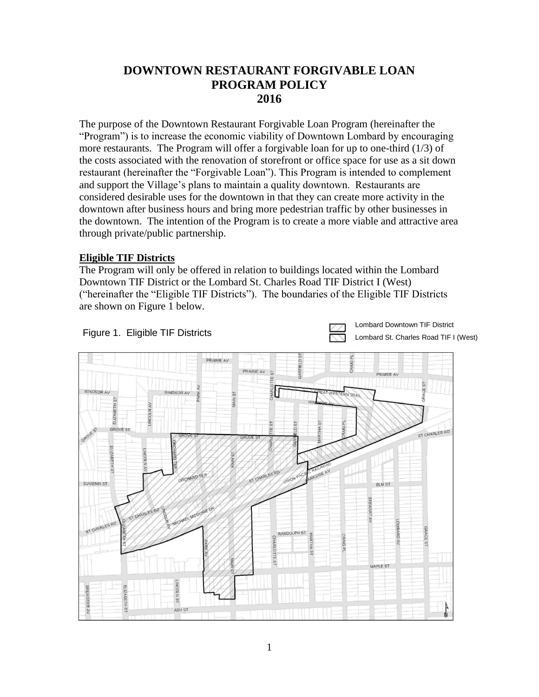## **DOWNTOWN RESTAURANT FORGIVABLE LOAN PROGRAM POLICY 2016**

The purpose of the Downtown Restaurant Forgivable Loan Program (hereinafter the "Program") is to increase the economic viability of Downtown Lombard by encouraging more restaurants. The Program will offer a forgivable loan for up to one-third (1/3) of the costs associated with the renovation of storefront or office space for use as a sit down restaurant (hereinafter the "Forgivable Loan"). This Program is intended to complement and support the Village's plans to maintain a quality downtown. Restaurants are considered desirable uses for the downtown in that they can create more activity in the downtown after business hours and bring more pedestrian traffic by other businesses in the downtown. The intention of the Program is to create a more viable and attractive area through private/public partnership.

## **Eligible TIF Districts**

The Program will only be offered in relation to buildings located within the Lombard Downtown TIF District or the Lombard St. Charles Road TIF District I (West) ("hereinafter the "Eligible TIF Districts"). The boundaries of the Eligible TIF Districts are shown on Figure 1 below.



Lombard Downtown TIF District Lombard St. Charles Road TIF I (West)

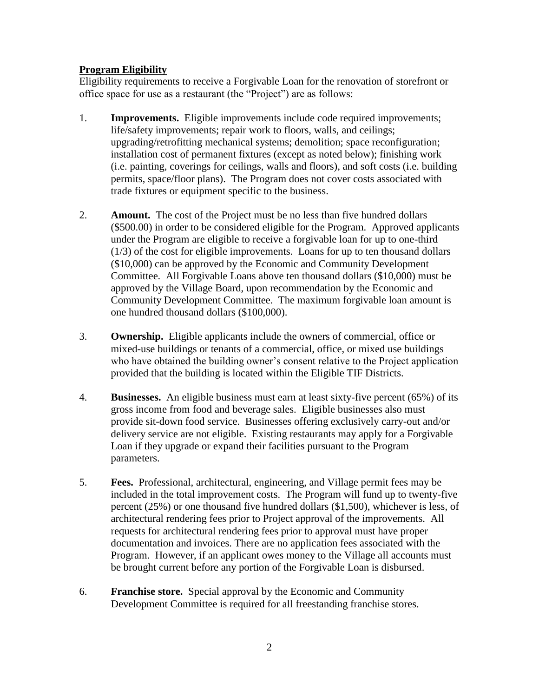## **Program Eligibility**

Eligibility requirements to receive a Forgivable Loan for the renovation of storefront or office space for use as a restaurant (the "Project") are as follows:

- 1. **Improvements.** Eligible improvements include code required improvements; life/safety improvements; repair work to floors, walls, and ceilings; upgrading/retrofitting mechanical systems; demolition; space reconfiguration; installation cost of permanent fixtures (except as noted below); finishing work (i.e. painting, coverings for ceilings, walls and floors), and soft costs (i.e. building permits, space/floor plans). The Program does not cover costs associated with trade fixtures or equipment specific to the business.
- 2. **Amount.** The cost of the Project must be no less than five hundred dollars (\$500.00) in order to be considered eligible for the Program. Approved applicants under the Program are eligible to receive a forgivable loan for up to one-third (1/3) of the cost for eligible improvements. Loans for up to ten thousand dollars (\$10,000) can be approved by the Economic and Community Development Committee. All Forgivable Loans above ten thousand dollars (\$10,000) must be approved by the Village Board, upon recommendation by the Economic and Community Development Committee. The maximum forgivable loan amount is one hundred thousand dollars (\$100,000).
- 3. **Ownership.** Eligible applicants include the owners of commercial, office or mixed-use buildings or tenants of a commercial, office, or mixed use buildings who have obtained the building owner's consent relative to the Project application provided that the building is located within the Eligible TIF Districts.
- 4. **Businesses.** An eligible business must earn at least sixty-five percent (65%) of its gross income from food and beverage sales. Eligible businesses also must provide sit-down food service. Businesses offering exclusively carry-out and/or delivery service are not eligible. Existing restaurants may apply for a Forgivable Loan if they upgrade or expand their facilities pursuant to the Program parameters.
- 5. **Fees.** Professional, architectural, engineering, and Village permit fees may be included in the total improvement costs. The Program will fund up to twenty-five percent (25%) or one thousand five hundred dollars (\$1,500), whichever is less, of architectural rendering fees prior to Project approval of the improvements. All requests for architectural rendering fees prior to approval must have proper documentation and invoices. There are no application fees associated with the Program. However, if an applicant owes money to the Village all accounts must be brought current before any portion of the Forgivable Loan is disbursed.
- 6. **Franchise store.** Special approval by the Economic and Community Development Committee is required for all freestanding franchise stores.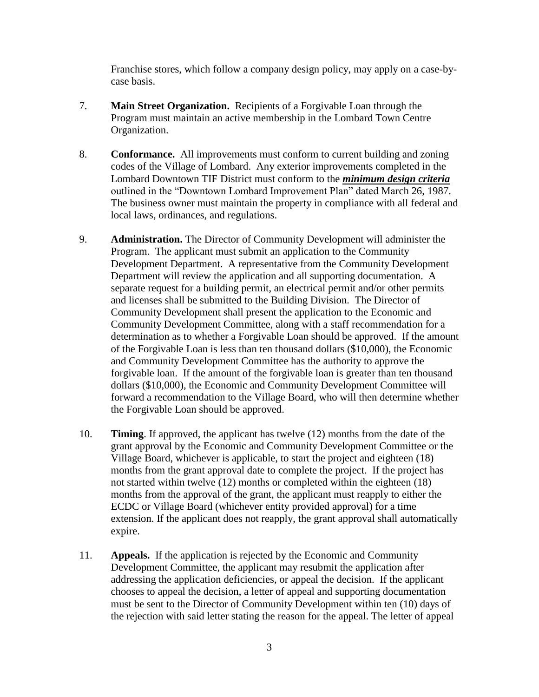Franchise stores, which follow a company design policy, may apply on a case-bycase basis.

- 7. **Main Street Organization.** Recipients of a Forgivable Loan through the Program must maintain an active membership in the Lombard Town Centre Organization.
- 8. **Conformance.** All improvements must conform to current building and zoning codes of the Village of Lombard. Any exterior improvements completed in the Lombard Downtown TIF District must conform to the *minimum design criteria* outlined in the "Downtown Lombard Improvement Plan" dated March 26, 1987. The business owner must maintain the property in compliance with all federal and local laws, ordinances, and regulations.
- 9. **Administration.** The Director of Community Development will administer the Program. The applicant must submit an application to the Community Development Department. A representative from the Community Development Department will review the application and all supporting documentation. A separate request for a building permit, an electrical permit and/or other permits and licenses shall be submitted to the Building Division. The Director of Community Development shall present the application to the Economic and Community Development Committee, along with a staff recommendation for a determination as to whether a Forgivable Loan should be approved. If the amount of the Forgivable Loan is less than ten thousand dollars (\$10,000), the Economic and Community Development Committee has the authority to approve the forgivable loan. If the amount of the forgivable loan is greater than ten thousand dollars (\$10,000), the Economic and Community Development Committee will forward a recommendation to the Village Board, who will then determine whether the Forgivable Loan should be approved.
- 10. **Timing**. If approved, the applicant has twelve (12) months from the date of the grant approval by the Economic and Community Development Committee or the Village Board, whichever is applicable, to start the project and eighteen (18) months from the grant approval date to complete the project. If the project has not started within twelve (12) months or completed within the eighteen (18) months from the approval of the grant, the applicant must reapply to either the ECDC or Village Board (whichever entity provided approval) for a time extension. If the applicant does not reapply, the grant approval shall automatically expire.
- 11. **Appeals.** If the application is rejected by the Economic and Community Development Committee, the applicant may resubmit the application after addressing the application deficiencies, or appeal the decision. If the applicant chooses to appeal the decision, a letter of appeal and supporting documentation must be sent to the Director of Community Development within ten (10) days of the rejection with said letter stating the reason for the appeal. The letter of appeal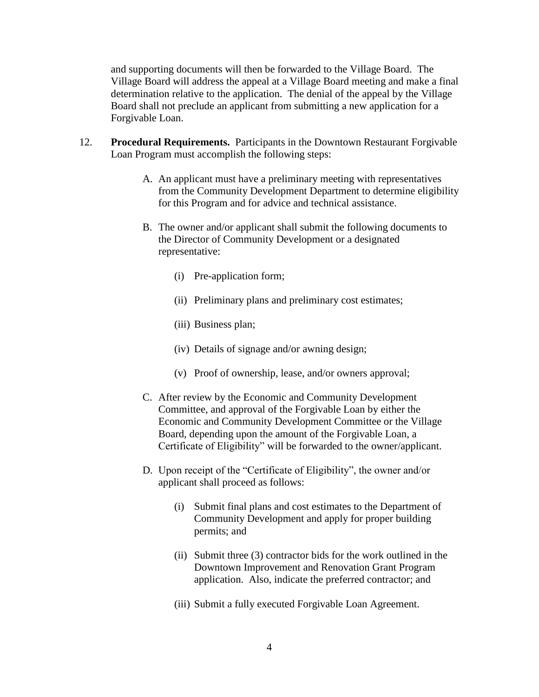and supporting documents will then be forwarded to the Village Board. The Village Board will address the appeal at a Village Board meeting and make a final determination relative to the application. The denial of the appeal by the Village Board shall not preclude an applicant from submitting a new application for a Forgivable Loan.

- 12. **Procedural Requirements.** Participants in the Downtown Restaurant Forgivable Loan Program must accomplish the following steps:
	- A. An applicant must have a preliminary meeting with representatives from the Community Development Department to determine eligibility for this Program and for advice and technical assistance.
	- B. The owner and/or applicant shall submit the following documents to the Director of Community Development or a designated representative:
		- (i) Pre-application form;
		- (ii) Preliminary plans and preliminary cost estimates;
		- (iii) Business plan;
		- (iv) Details of signage and/or awning design;
		- (v) Proof of ownership, lease, and/or owners approval;
	- C. After review by the Economic and Community Development Committee, and approval of the Forgivable Loan by either the Economic and Community Development Committee or the Village Board, depending upon the amount of the Forgivable Loan, a Certificate of Eligibility" will be forwarded to the owner/applicant.
	- D. Upon receipt of the "Certificate of Eligibility", the owner and/or applicant shall proceed as follows:
		- (i) Submit final plans and cost estimates to the Department of Community Development and apply for proper building permits; and
		- (ii) Submit three (3) contractor bids for the work outlined in the Downtown Improvement and Renovation Grant Program application. Also, indicate the preferred contractor; and
		- (iii) Submit a fully executed Forgivable Loan Agreement.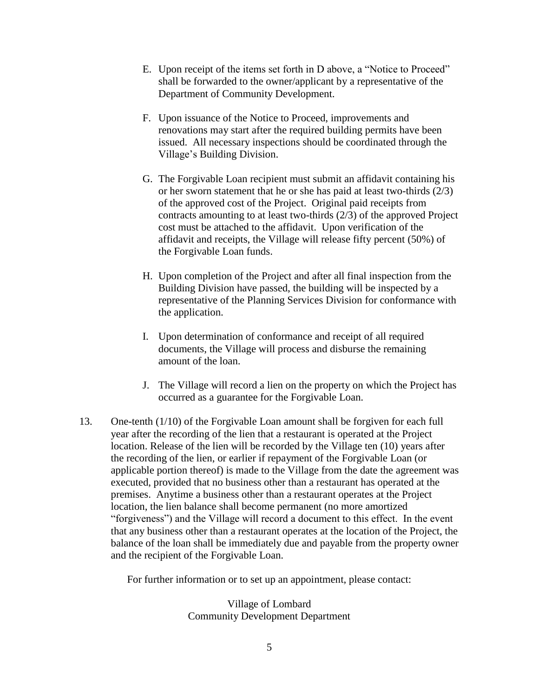- E. Upon receipt of the items set forth in D above, a "Notice to Proceed" shall be forwarded to the owner/applicant by a representative of the Department of Community Development.
- F. Upon issuance of the Notice to Proceed, improvements and renovations may start after the required building permits have been issued. All necessary inspections should be coordinated through the Village's Building Division.
- G. The Forgivable Loan recipient must submit an affidavit containing his or her sworn statement that he or she has paid at least two-thirds (2/3) of the approved cost of the Project. Original paid receipts from contracts amounting to at least two-thirds (2/3) of the approved Project cost must be attached to the affidavit. Upon verification of the affidavit and receipts, the Village will release fifty percent (50%) of the Forgivable Loan funds.
- H. Upon completion of the Project and after all final inspection from the Building Division have passed, the building will be inspected by a representative of the Planning Services Division for conformance with the application.
- I. Upon determination of conformance and receipt of all required documents, the Village will process and disburse the remaining amount of the loan.
- J. The Village will record a lien on the property on which the Project has occurred as a guarantee for the Forgivable Loan.
- 13. One-tenth (1/10) of the Forgivable Loan amount shall be forgiven for each full year after the recording of the lien that a restaurant is operated at the Project location. Release of the lien will be recorded by the Village ten (10) years after the recording of the lien, or earlier if repayment of the Forgivable Loan (or applicable portion thereof) is made to the Village from the date the agreement was executed, provided that no business other than a restaurant has operated at the premises. Anytime a business other than a restaurant operates at the Project location, the lien balance shall become permanent (no more amortized "forgiveness") and the Village will record a document to this effect. In the event that any business other than a restaurant operates at the location of the Project, the balance of the loan shall be immediately due and payable from the property owner and the recipient of the Forgivable Loan.

For further information or to set up an appointment, please contact:

Village of Lombard Community Development Department